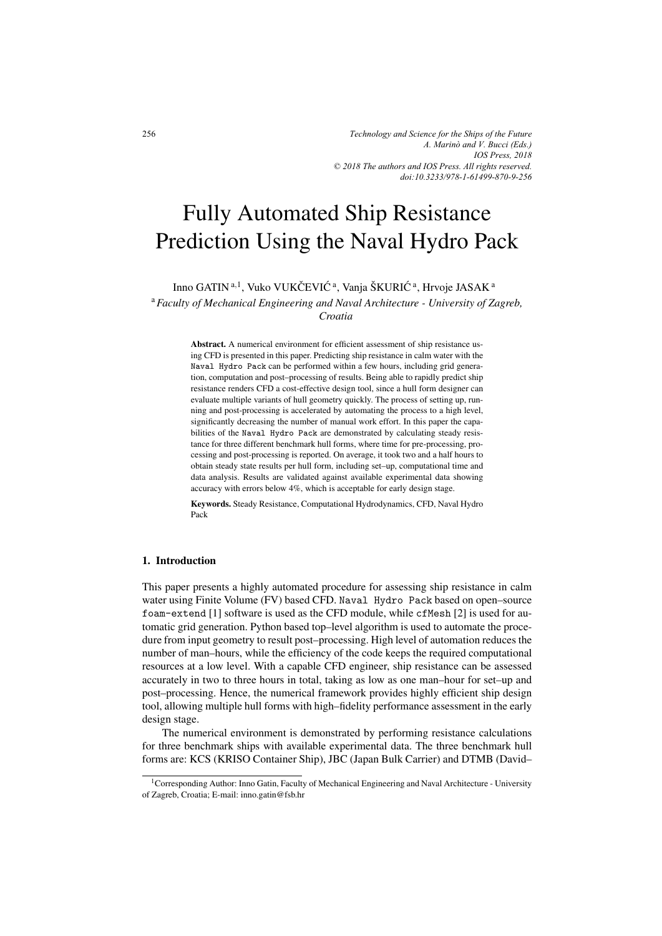# Fully Automated Ship Resistance Prediction Using the Naval Hydro Pack

Inno GATIN<sup>a, 1</sup>, Vuko VUKČEVIĆ<sup>a</sup>, Vanja ŠKURIĆ<sup>a</sup>, Hrvoje JASAK<sup>a</sup> <sup>a</sup>*Faculty of Mechanical Engineering and Naval Architecture - University of Zagreb, Croatia*

> Abstract. A numerical environment for efficient assessment of ship resistance using CFD is presented in this paper. Predicting ship resistance in calm water with the Naval Hydro Pack can be performed within a few hours, including grid generation, computation and post–processing of results. Being able to rapidly predict ship resistance renders CFD a cost-effective design tool, since a hull form designer can evaluate multiple variants of hull geometry quickly. The process of setting up, running and post-processing is accelerated by automating the process to a high level, significantly decreasing the number of manual work effort. In this paper the capabilities of the Naval Hydro Pack are demonstrated by calculating steady resistance for three different benchmark hull forms, where time for pre-processing, processing and post-processing is reported. On average, it took two and a half hours to obtain steady state results per hull form, including set–up, computational time and data analysis. Results are validated against available experimental data showing accuracy with errors below 4%, which is acceptable for early design stage.

> Keywords. Steady Resistance, Computational Hydrodynamics, CFD, Naval Hydro Pack

### 1. Introduction

This paper presents a highly automated procedure for assessing ship resistance in calm water using Finite Volume (FV) based CFD. Naval Hydro Pack based on open–source foam-extend [1] software is used as the CFD module, while cfMesh [2] is used for automatic grid generation. Python based top–level algorithm is used to automate the procedure from input geometry to result post–processing. High level of automation reduces the number of man–hours, while the efficiency of the code keeps the required computational resources at a low level. With a capable CFD engineer, ship resistance can be assessed accurately in two to three hours in total, taking as low as one man–hour for set–up and post–processing. Hence, the numerical framework provides highly efficient ship design tool, allowing multiple hull forms with high–fidelity performance assessment in the early design stage.

The numerical environment is demonstrated by performing resistance calculations for three benchmark ships with available experimental data. The three benchmark hull forms are: KCS (KRISO Container Ship), JBC (Japan Bulk Carrier) and DTMB (David–

<sup>&</sup>lt;sup>1</sup>Corresponding Author: Inno Gatin, Faculty of Mechanical Engineering and Naval Architecture - University of Zagreb, Croatia; E-mail: inno.gatin@fsb.hr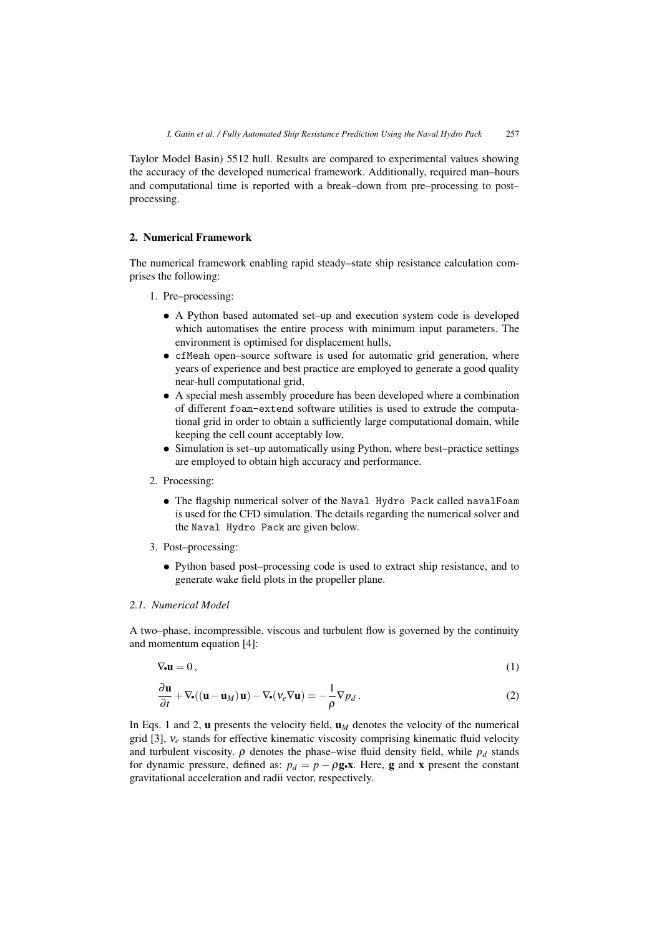Taylor Model Basin) 5512 hull. Results are compared to experimental values showing the accuracy of the developed numerical framework. Additionally, required man–hours and computational time is reported with a break–down from pre–processing to post– processing.

# 2. Numerical Framework

The numerical framework enabling rapid steady–state ship resistance calculation comprises the following:

- 1. Pre–processing:
	- *•* A Python based automated set–up and execution system code is developed which automatises the entire process with minimum input parameters. The environment is optimised for displacement hulls,
	- cfMesh open–source software is used for automatic grid generation, where years of experience and best practice are employed to generate a good quality near-hull computational grid,
	- *•* A special mesh assembly procedure has been developed where a combination of different foam-extend software utilities is used to extrude the computational grid in order to obtain a sufficiently large computational domain, while keeping the cell count acceptably low,
	- *•* Simulation is set–up automatically using Python, where best–practice settings are employed to obtain high accuracy and performance.
- 2. Processing:
	- The flagship numerical solver of the Naval Hydro Pack called navalFoam is used for the CFD simulation. The details regarding the numerical solver and the Naval Hydro Pack are given below.
- 3. Post–processing:
	- *•* Python based post–processing code is used to extract ship resistance, and to generate wake field plots in the propeller plane.

# *2.1. Numerical Model*

A two–phase, incompressible, viscous and turbulent flow is governed by the continuity and momentum equation [4]:

$$
\nabla_{\bullet} \mathbf{u} = 0, \tag{1}
$$

$$
\frac{\partial \mathbf{u}}{\partial t} + \nabla \bullet ((\mathbf{u} - \mathbf{u}_M)\mathbf{u}) - \nabla \bullet (\mathbf{v}_e \nabla \mathbf{u}) = -\frac{1}{\rho} \nabla p_d.
$$
 (2)

In Eqs. 1 and 2,  $\bf{u}$  presents the velocity field,  $\bf{u}_M$  denotes the velocity of the numerical grid [3], ν*<sup>e</sup>* stands for effective kinematic viscosity comprising kinematic fluid velocity and turbulent viscosity.  $\rho$  denotes the phase–wise fluid density field, while  $p_d$  stands for dynamic pressure, defined as:  $p_d = p - \rho g \cdot x$ . Here, g and x present the constant gravitational acceleration and radii vector, respectively.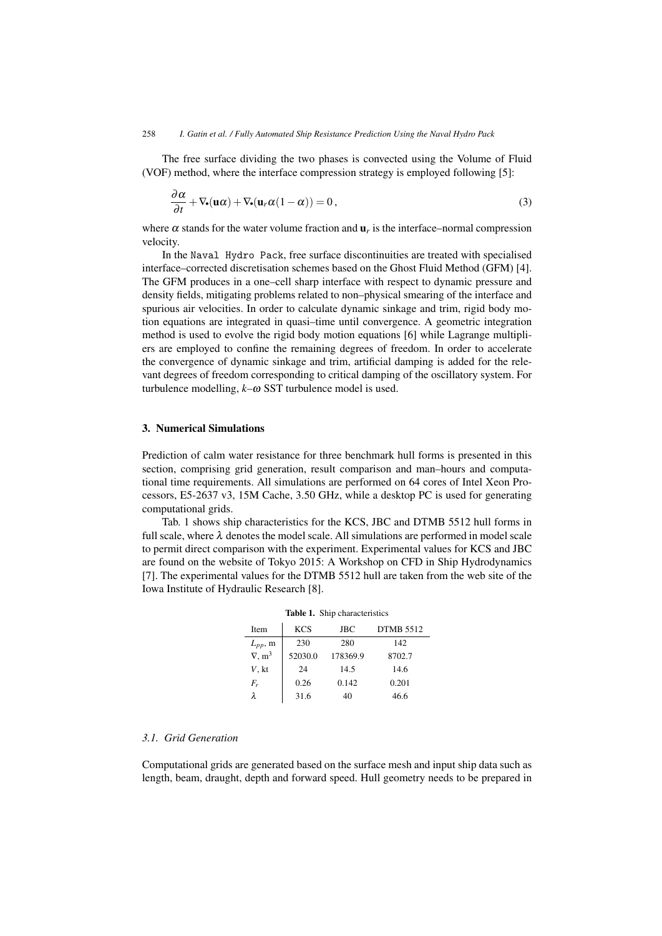The free surface dividing the two phases is convected using the Volume of Fluid (VOF) method, where the interface compression strategy is employed following [5]:

$$
\frac{\partial \alpha}{\partial t} + \nabla_{\bullet}(\mathbf{u}\alpha) + \nabla_{\bullet}(\mathbf{u}_r \alpha (1 - \alpha)) = 0, \qquad (3)
$$

where  $\alpha$  stands for the water volume fraction and  $\mathbf{u}_r$  is the interface–normal compression velocity.

In the Naval Hydro Pack, free surface discontinuities are treated with specialised interface–corrected discretisation schemes based on the Ghost Fluid Method (GFM) [4]. The GFM produces in a one–cell sharp interface with respect to dynamic pressure and density fields, mitigating problems related to non–physical smearing of the interface and spurious air velocities. In order to calculate dynamic sinkage and trim, rigid body motion equations are integrated in quasi–time until convergence. A geometric integration method is used to evolve the rigid body motion equations [6] while Lagrange multipliers are employed to confine the remaining degrees of freedom. In order to accelerate the convergence of dynamic sinkage and trim, artificial damping is added for the relevant degrees of freedom corresponding to critical damping of the oscillatory system. For turbulence modelling, *k*–ω SST turbulence model is used.

## 3. Numerical Simulations

Prediction of calm water resistance for three benchmark hull forms is presented in this section, comprising grid generation, result comparison and man–hours and computational time requirements. All simulations are performed on 64 cores of Intel Xeon Processors, E5-2637 v3, 15M Cache, 3.50 GHz, while a desktop PC is used for generating computational grids.

Tab. 1 shows ship characteristics for the KCS, JBC and DTMB 5512 hull forms in full scale, where  $\lambda$  denotes the model scale. All simulations are performed in model scale to permit direct comparison with the experiment. Experimental values for KCS and JBC are found on the website of Tokyo 2015: A Workshop on CFD in Ship Hydrodynamics [7]. The experimental values for the DTMB 5512 hull are taken from the web site of the Iowa Institute of Hydraulic Research [8].

| Item          | <b>KCS</b> | <b>JBC</b> | <b>DTMB 5512</b> |
|---------------|------------|------------|------------------|
| $L_{pp}$ , m  | 230        | 280        | 142              |
| $\nabla, m^3$ | 52030.0    | 178369.9   | 8702.7           |
| V, kt         | 24         | 14.5       | 14.6             |
| F,            | 0.26       | 0.142      | 0.201            |
|               | 31.6       | 40         | 46.6             |

#### Table 1. Ship characteristics

## *3.1. Grid Generation*

Computational grids are generated based on the surface mesh and input ship data such as length, beam, draught, depth and forward speed. Hull geometry needs to be prepared in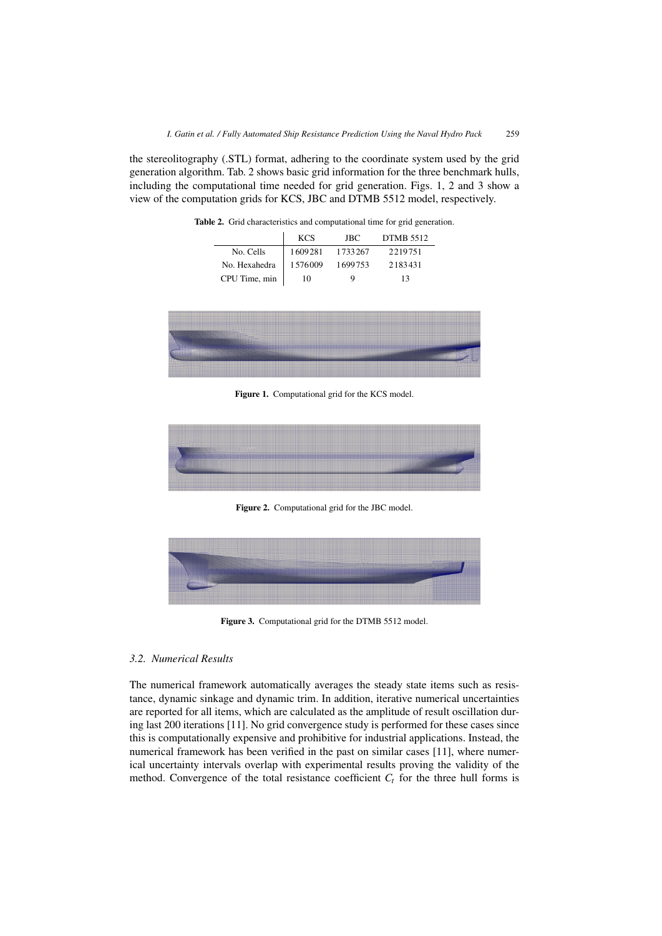the stereolitography (.STL) format, adhering to the coordinate system used by the grid generation algorithm. Tab. 2 shows basic grid information for the three benchmark hulls, including the computational time needed for grid generation. Figs. 1, 2 and 3 show a view of the computation grids for KCS, JBC and DTMB 5512 model, respectively.

|               | <b>KCS</b> | JBC.    | <b>DTMB 5512</b> |
|---------------|------------|---------|------------------|
| No. Cells     | 1609281    | 1733267 | 2219751          |
| No. Hexahedra | 1.576009   | 1699753 | 2183431          |
| CPU Time, min | 10         | Q       | 13               |

Table 2. Grid characteristics and computational time for grid generation.



Figure 1. Computational grid for the KCS model.



Figure 2. Computational grid for the JBC model.



Figure 3. Computational grid for the DTMB 5512 model.

# *3.2. Numerical Results*

The numerical framework automatically averages the steady state items such as resistance, dynamic sinkage and dynamic trim. In addition, iterative numerical uncertainties are reported for all items, which are calculated as the amplitude of result oscillation during last 200 iterations [11]. No grid convergence study is performed for these cases since this is computationally expensive and prohibitive for industrial applications. Instead, the numerical framework has been verified in the past on similar cases [11], where numerical uncertainty intervals overlap with experimental results proving the validity of the method. Convergence of the total resistance coefficient  $C_t$  for the three hull forms is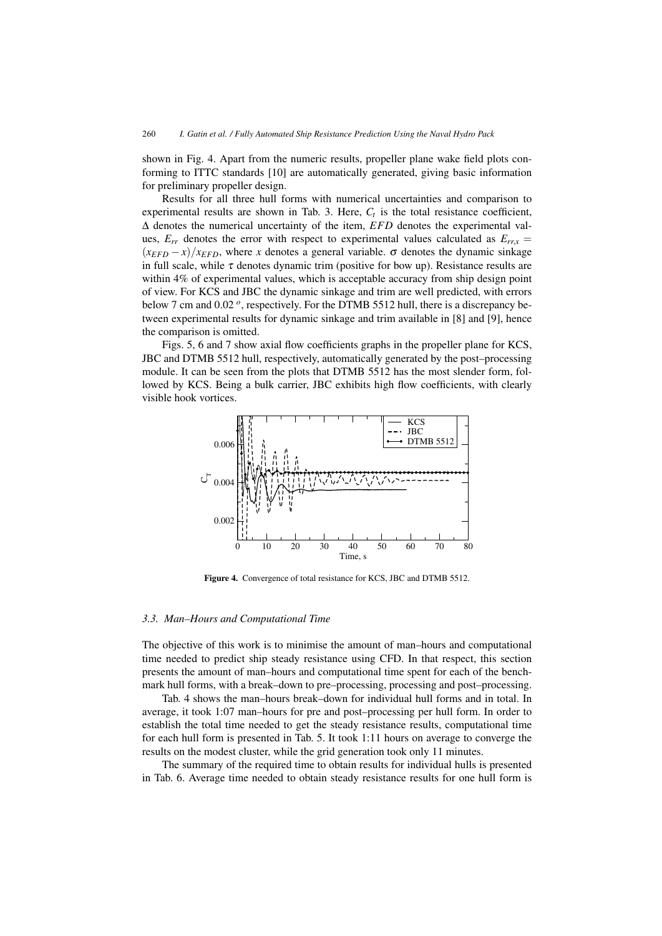shown in Fig. 4. Apart from the numeric results, propeller plane wake field plots conforming to ITTC standards [10] are automatically generated, giving basic information for preliminary propeller design.

Results for all three hull forms with numerical uncertainties and comparison to experimental results are shown in Tab. 3. Here,  $C_t$  is the total resistance coefficient, Δ denotes the numerical uncertainty of the item, *EFD* denotes the experimental values,  $E_{rr}$  denotes the error with respect to experimental values calculated as  $E_{rrx}$  =  $(x_{EFD} - x)/x_{EFD}$ , where *x* denotes a general variable.  $\sigma$  denotes the dynamic sinkage in full scale, while  $\tau$  denotes dynamic trim (positive for bow up). Resistance results are within 4% of experimental values, which is acceptable accuracy from ship design point of view. For KCS and JBC the dynamic sinkage and trim are well predicted, with errors below 7 cm and 0.02 *<sup>o</sup>*, respectively. For the DTMB 5512 hull, there is a discrepancy between experimental results for dynamic sinkage and trim available in [8] and [9], hence the comparison is omitted.

Figs. 5, 6 and 7 show axial flow coefficients graphs in the propeller plane for KCS, JBC and DTMB 5512 hull, respectively, automatically generated by the post–processing module. It can be seen from the plots that DTMB 5512 has the most slender form, followed by KCS. Being a bulk carrier, JBC exhibits high flow coefficients, with clearly visible hook vortices.



Figure 4. Convergence of total resistance for KCS, JBC and DTMB 5512.

#### *3.3. Man–Hours and Computational Time*

The objective of this work is to minimise the amount of man–hours and computational time needed to predict ship steady resistance using CFD. In that respect, this section presents the amount of man–hours and computational time spent for each of the benchmark hull forms, with a break–down to pre–processing, processing and post–processing.

Tab. 4 shows the man–hours break–down for individual hull forms and in total. In average, it took 1:07 man–hours for pre and post–processing per hull form. In order to establish the total time needed to get the steady resistance results, computational time for each hull form is presented in Tab. 5. It took 1:11 hours on average to converge the results on the modest cluster, while the grid generation took only 11 minutes.

The summary of the required time to obtain results for individual hulls is presented in Tab. 6. Average time needed to obtain steady resistance results for one hull form is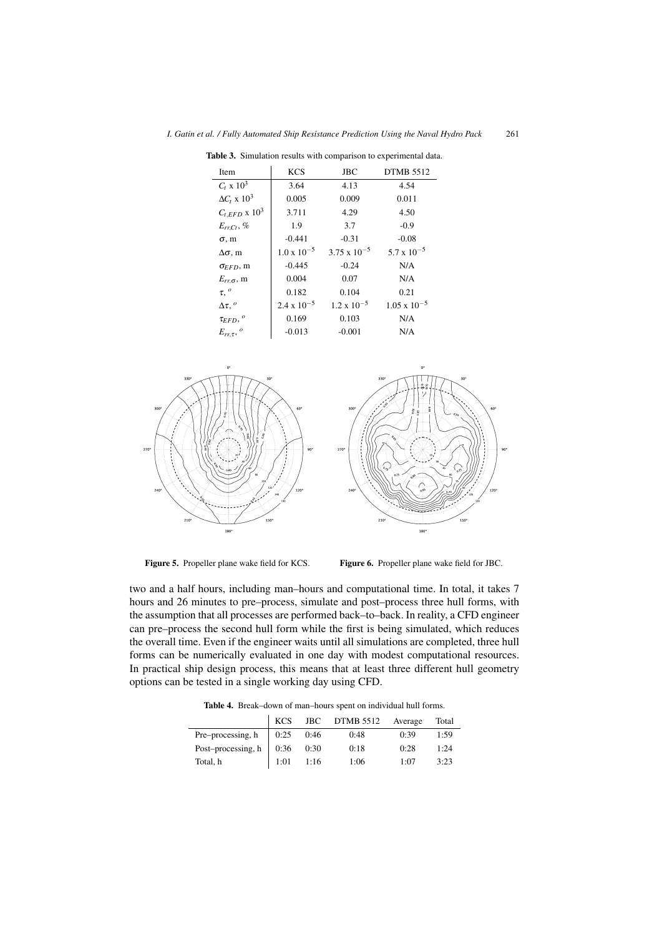| Item                        | <b>KCS</b>           | <b>JBC</b>            | <b>DTMB 5512</b>      |  |
|-----------------------------|----------------------|-----------------------|-----------------------|--|
| $C_t$ x $10^3$              | 3.64                 | 4.13                  | 4.54                  |  |
| $\Delta C_t \ge 10^3$       | 0.005                | 0.009                 | 0.011                 |  |
| $C_{t,EFD}$ x $10^3$        | 3.711                | 4.29                  | 4.50                  |  |
| $E_{rr,Ct}$ , %             | 1.9                  | 3.7                   | $-0.9$                |  |
| $\sigma$ , m                | $-0.441$             | $-0.31$               | $-0.08$               |  |
| $\Delta \sigma$ , m         | $1.0 \times 10^{-5}$ | $3.75 \times 10^{-5}$ | $5.7 \times 10^{-5}$  |  |
| $\sigma$ <sub>EFD</sub> , m | $-0.445$             | $-0.24$               | N/A                   |  |
| $E_{rr,\sigma}$ , m         | 0.004                | 0.07                  | N/A                   |  |
| $\tau$ , $^{\circ}$         | 0.182                | 0.104                 | 0.21                  |  |
| $\Delta \tau$ , $^o$        | $2.4 \times 10^{-5}$ | $1.2 \times 10^{-5}$  | $1.05 \times 10^{-5}$ |  |
| $\tau_{EFD},{}^o$           | 0.169                | 0.103                 | N/A                   |  |
| $E_{rr, \tau}$ , $^o$       | $-0.013$             | $-0.001$              | N/A                   |  |

Table 3. Simulation results with comparison to experimental data.



Figure 5. Propeller plane wake field for KCS. Figure 6. Propeller plane wake field for JBC.

two and a half hours, including man–hours and computational time. In total, it takes 7 hours and 26 minutes to pre–process, simulate and post–process three hull forms, with the assumption that all processes are performed back–to–back. In reality, a CFD engineer can pre–process the second hull form while the first is being simulated, which reduces the overall time. Even if the engineer waits until all simulations are completed, three hull forms can be numerically evaluated in one day with modest computational resources. In practical ship design process, this means that at least three different hull geometry options can be tested in a single working day using CFD.

Table 4. Break–down of man–hours spent on individual hull forms.

|                                  |             | KCS JBC DTMB 5512 Average |      | Total |
|----------------------------------|-------------|---------------------------|------|-------|
| Pre-processing, h   $0:25$ 0:46  |             | 0:48                      | 0:39 | 1:59  |
| Post-processing, h   $0:36$ 0:30 |             | 0:18                      | 0:28 | 1:24  |
| Total, h                         | $1:01$ 1:16 | 1:06                      | 1:07 | 3:23  |

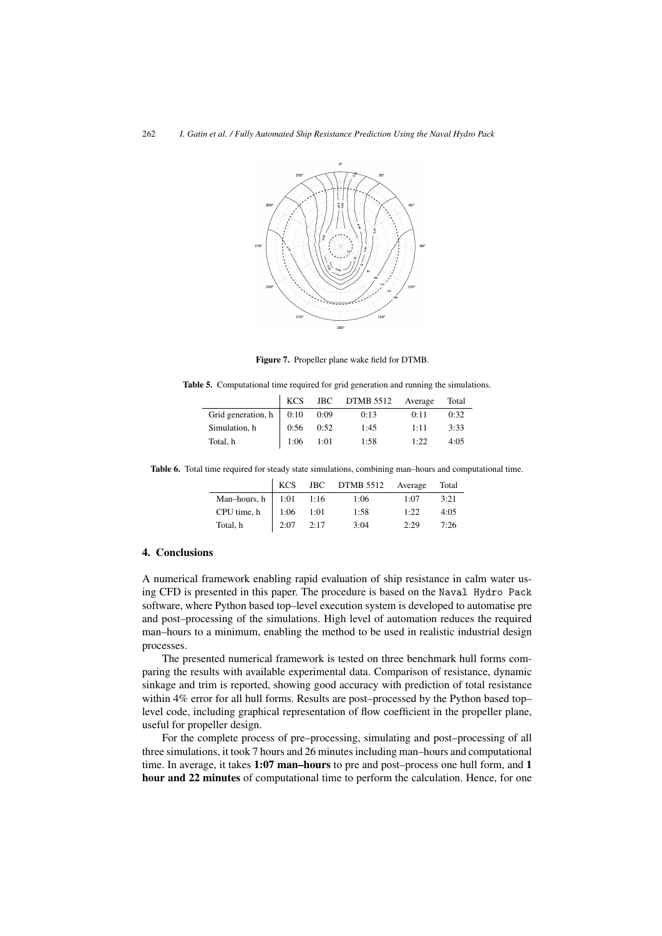

Figure 7. Propeller plane wake field for DTMB.

|  |  |  |  |  | <b>Table 5.</b> Computational time required for grid generation and running the simulations |  |
|--|--|--|--|--|---------------------------------------------------------------------------------------------|--|
|--|--|--|--|--|---------------------------------------------------------------------------------------------|--|

|                                | KCS           |      | JBC DTMB 5512 | Average | Total |
|--------------------------------|---------------|------|---------------|---------|-------|
| Grid generation, $h \mid 0:10$ |               | 0:09 | 0:13          | 0:11    | 0:32  |
| Simulation, h                  | 0:56          | 0:52 | 1:45          | 1:11    | 3:33  |
| Total, h                       | $1:06$ $1:01$ |      | 1:58          | 1:22    | 4:0.5 |

Table 6. Total time required for steady state simulations, combining man–hours and computational time.

|                            |             | KCS JBC DTMB 5512 Average Total |      |       |
|----------------------------|-------------|---------------------------------|------|-------|
| Man-hours, h   $1:01$ 1:16 |             | 1:06                            | 1:07 | 3:21  |
| CPU time, h   1:06 $1:01$  |             | 1:58                            | 1:22 | 4:0.5 |
| Total, h                   | $2:07$ 2:17 | 3:04                            | 2.29 | 7.26  |

## 4. Conclusions

A numerical framework enabling rapid evaluation of ship resistance in calm water using CFD is presented in this paper. The procedure is based on the Naval Hydro Pack software, where Python based top–level execution system is developed to automatise pre and post–processing of the simulations. High level of automation reduces the required man–hours to a minimum, enabling the method to be used in realistic industrial design processes.

The presented numerical framework is tested on three benchmark hull forms comparing the results with available experimental data. Comparison of resistance, dynamic sinkage and trim is reported, showing good accuracy with prediction of total resistance within 4% error for all hull forms. Results are post–processed by the Python based top– level code, including graphical representation of flow coefficient in the propeller plane, useful for propeller design.

For the complete process of pre–processing, simulating and post–processing of all three simulations, it took 7 hours and 26 minutes including man–hours and computational time. In average, it takes 1:07 man-hours to pre and post-process one hull form, and 1 hour and 22 minutes of computational time to perform the calculation. Hence, for one